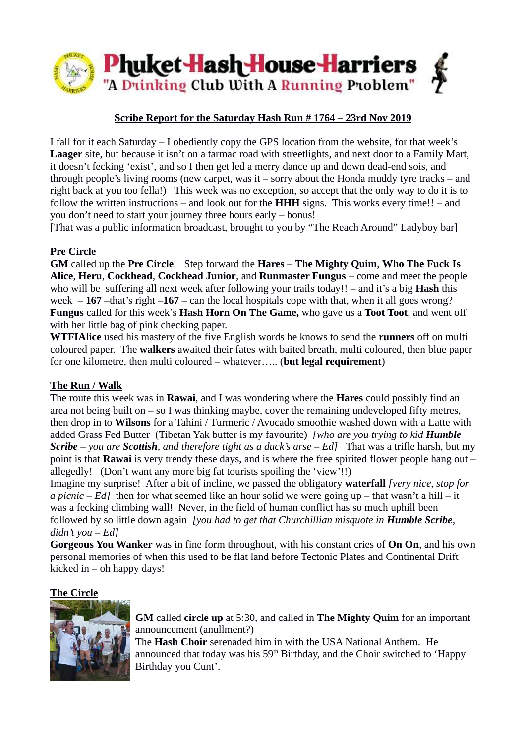

## **Scribe Report for the Saturday Hash Run # 1764 – 23rd Nov 2019**

I fall for it each Saturday – I obediently copy the GPS location from the website, for that week's **Laager** site, but because it isn't on a tarmac road with streetlights, and next door to a Family Mart, it doesn't fecking 'exist', and so I then get led a merry dance up and down dead-end sois, and through people's living rooms (new carpet, was it – sorry about the Honda muddy tyre tracks – and right back at you too fella!) This week was no exception, so accept that the only way to do it is to follow the written instructions – and look out for the **HHH** signs. This works every time!! – and you don't need to start your journey three hours early – bonus!

[That was a public information broadcast, brought to you by "The Reach Around" Ladyboy bar]

### **Pre Circle**

**GM** called up the **Pre Circle**. Step forward the **Hares** – **The Mighty Quim**, **Who The Fuck Is Alice**, **Heru**, **Cockhead**, **Cockhead Junior**, and **Runmaster Fungus** – come and meet the people who will be suffering all next week after following your trails today!! – and it's a big **Hash** this week  $-167$  –that's right  $-167$  – can the local hospitals cope with that, when it all goes wrong? **Fungus** called for this week's **Hash Horn On The Game,** who gave us a **Toot Toot**, and went off with her little bag of pink checking paper.

**WTFIAlice** used his mastery of the five English words he knows to send the **runners** off on multi coloured paper. The **walkers** awaited their fates with baited breath, multi coloured, then blue paper for one kilometre, then multi coloured – whatever….. (**but legal requirement**)

#### **The Run / Walk**

The route this week was in **Rawai**, and I was wondering where the **Hares** could possibly find an area not being built on – so I was thinking maybe, cover the remaining undeveloped fifty metres, then drop in to **Wilsons** for a Tahini / Turmeric / Avocado smoothie washed down with a Latte with added Grass Fed Butter (Tibetan Yak butter is my favourite) *[who are you trying to kid Humble Scribe – you are Scottish, and therefore tight as a duck's arse – Ed]* That was a trifle harsh, but my point is that **Rawai** is very trendy these days, and is where the free spirited flower people hang out – allegedly! (Don't want any more big fat tourists spoiling the 'view'!!)

Imagine my surprise! After a bit of incline, we passed the obligatory **waterfall** *[very nice, stop for a picnic – Ed]* then for what seemed like an hour solid we were going up – that wasn't a hill – it was a fecking climbing wall! Never, in the field of human conflict has so much uphill been followed by so little down again *[you had to get that Churchillian misquote in Humble Scribe, didn't you – Ed]*

**Gorgeous You Wanker** was in fine form throughout, with his constant cries of **On On**, and his own personal memories of when this used to be flat land before Tectonic Plates and Continental Drift kicked in – oh happy days!

#### **The Circle**



**GM** called **circle up** at 5:30, and called in **The Mighty Quim** for an important announcement (anullment?)

The **Hash Choir** serenaded him in with the USA National Anthem. He announced that today was his 59<sup>th</sup> Birthday, and the Choir switched to 'Happy Birthday you Cunt'.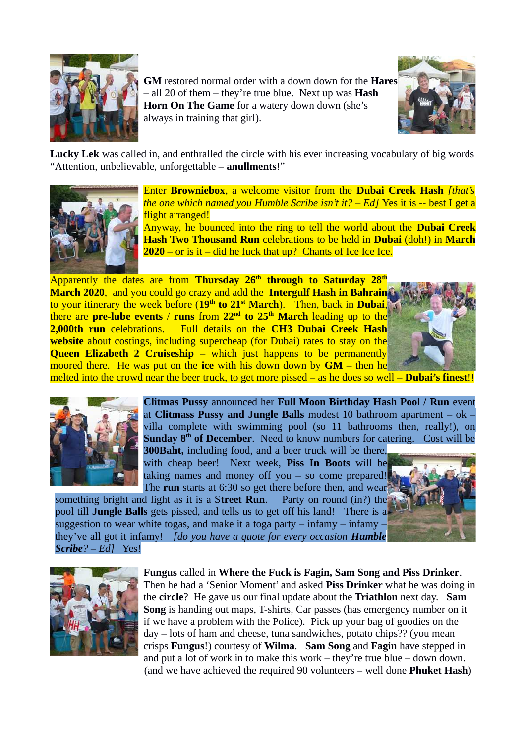

**GM** restored normal order with a down down for the **Hares** – all 20 of them – they're true blue. Next up was **Hash Horn On The Game** for a watery down down (she's always in training that girl).



**Lucky Lek** was called in, and enthralled the circle with his ever increasing vocabulary of big words "Attention, unbelievable, unforgettable – **anullments**!"



Enter **Browniebox**, a welcome visitor from the **Dubai Creek Hash** *[that's the one which named you Humble Scribe isn't it? – Ed]* Yes it is -- best I get a flight arranged!

Anyway, he bounced into the ring to tell the world about the **Dubai Creek Hash Two Thousand Run** celebrations to be held in **Dubai** (doh!) in **March 2020** – or is it – did he fuck that up? Chants of Ice Ice Ice.

Apparently the dates are from **Thursday 26th through to Saturday 28th March 2020**, and you could go crazy and add the **Intergulf Hash in Bahrain** to your itinerary the week before (**19th to 21st March**). Then, back in **Dubai**, there are **pre-lube events** / **runs** from **22nd to 25th March** leading up to the **2,000th run** celebrations. Full details on the **CH3 Dubai Creek Hash website** about costings, including supercheap (for Dubai) rates to stay on the **Queen Elizabeth 2 Cruiseship** – which just happens to be permanently moored there. He was put on the **ice** with his down down by **GM** – then he



melted into the crowd near the beer truck, to get more pissed – as he does so well – **Dubai's finest**!!



**Clitmas Pussy** announced her **Full Moon Birthday Hash Pool / Run** event at **Clitmass Pussy and Jungle Balls** modest 10 bathroom apartment – ok – villa complete with swimming pool (so 11 bathrooms then, really!), on **Sunday 8<sup>th</sup> of December.** Need to know numbers for catering. Cost will be **300Baht,** including food, and a beer truck will be there,

with cheap beer! Next week, **Piss In Boots** will be taking names and money off you  $-$  so come prepared! The **run** starts at 6:30 so get there before then, and wear

something bright and light as it is a S**treet Run**. Party on round (in?) the pool till **Jungle Balls** gets pissed, and tells us to get off his land! There is a suggestion to wear white togas, and make it a toga party  $-$  infamy  $-$  infamy they've all got it infamy! *[do you have a quote for every occasion Humble Scribe? – Ed]* Yes!





**Fungus** called in **Where the Fuck is Fagin, Sam Song and Piss Drinker**. Then he had a 'Senior Moment' and asked **Piss Drinker** what he was doing in the **circle**? He gave us our final update about the **Triathlon** next day. **Sam Song** is handing out maps, T-shirts, Car passes (has emergency number on it if we have a problem with the Police). Pick up your bag of goodies on the day – lots of ham and cheese, tuna sandwiches, potato chips?? (you mean crisps **Fungus**!) courtesy of **Wilma**. **Sam Song** and **Fagin** have stepped in and put a lot of work in to make this work – they're true blue – down down. (and we have achieved the required 90 volunteers – well done **Phuket Hash**)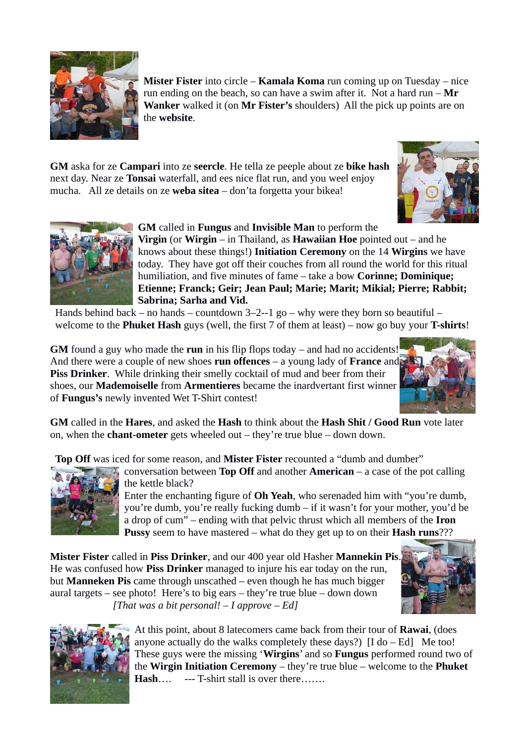

**Mister Fister** into circle – **Kamala Koma** run coming up on Tuesday – nice run ending on the beach, so can have a swim after it. Not a hard run – **Mr Wanker** walked it (on **Mr Fister's** shoulders) All the pick up points are on the **website**.

**GM** aska for ze **Campari** into ze **seercle**. He tella ze peeple about ze **bike hash** next day. Near ze **Tonsai** waterfall, and ees nice flat run, and you weel enjoy mucha. All ze details on ze **weba sitea** – don'ta forgetta your bikea!





# **GM** called in **Fungus** and **Invisible Man** to perform the

**Virgin** (or **Wirgin** – in Thailand, as **Hawaiian Hoe** pointed out – and he knows about these things!) **Initiation Ceremony** on the 14 **Wirgins** we have today. They have got off their couches from all round the world for this ritual humiliation, and five minutes of fame – take a bow **Corinne; Dominique; Etienne; Franck; Geir; Jean Paul; Marie; Marit; Mikial; Pierre; Rabbit; Sabrina; Sarha and Vid.**

Hands behind back – no hands – countdown  $3-2-1$  go – why were they born so beautiful – welcome to the **Phuket Hash** guys (well, the first 7 of them at least) – now go buy your **T-shirts**!

**GM** found a guy who made the **run** in his flip flops today – and had no accidents! And there were a couple of new shoes **run offences** – a young lady of **France** and **Piss Drinker**. While drinking their smelly cocktail of mud and beer from their shoes, our **Mademoiselle** from **Armentieres** became the inardvertant first winner of **Fungus's** newly invented Wet T-Shirt contest!



**GM** called in the **Hares**, and asked the **Hash** to think about the **Hash Shit / Good Run** vote later on, when the **chant-ometer** gets wheeled out – they're true blue – down down.

**Top Off** was iced for some reason, and **Mister Fister** recounted a "dumb and dumber"



conversation between **Top Off** and another **American** – a case of the pot calling the kettle black?

Enter the enchanting figure of **Oh Yeah**, who serenaded him with "you're dumb, you're dumb, you're really fucking dumb – if it wasn't for your mother, you'd be a drop of cum" – ending with that pelvic thrust which all members of the **Iron Pussy** seem to have mastered – what do they get up to on their **Hash runs**???

**Mister Fister** called in **Piss Drinker**, and our 400 year old Hasher **Mannekin Pis**. He was confused how **Piss Drinker** managed to injure his ear today on the run, but **Manneken Pis** came through unscathed – even though he has much bigger aural targets – see photo! Here's to big ears – they're true blue – down down *[That was a bit personal! – I approve – Ed]*





At this point, about 8 latecomers came back from their tour of **Rawai**, (does anyone actually do the walks completely these days?)  $[I do - Ed]$  Me too! These guys were the missing '**Wirgins**' and so **Fungus** performed round two of the **Wirgin Initiation Ceremony** – they're true blue – welcome to the **Phuket Hash**…. --- T-shirt stall is over there…….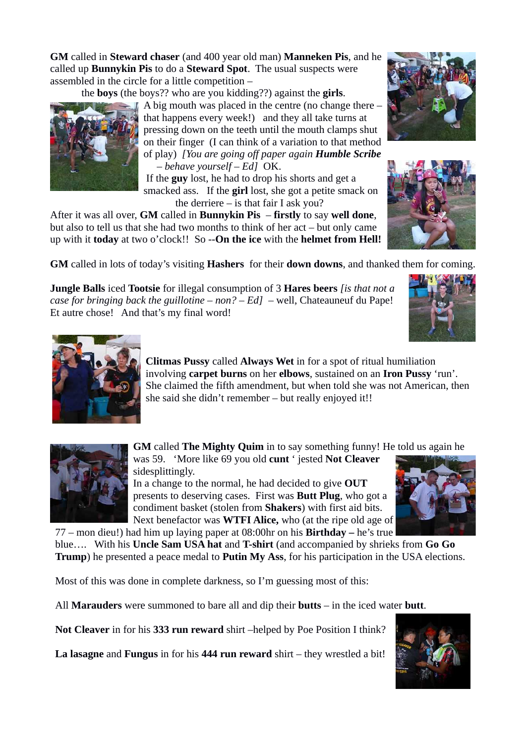**GM** called in **Steward chaser** (and 400 year old man) **Manneken Pis**, and he called up **Bunnykin Pis** to do a **Steward Spot**. The usual suspects were assembled in the circle for a little competition –

the **boys** (the boys?? who are you kidding??) against the **girls**.

A big mouth was placed in the centre (no change there – that happens every week!) and they all take turns at pressing down on the teeth until the mouth clamps shut on their finger (I can think of a variation to that method of play) *[You are going off paper again Humble Scribe – behave yourself – Ed]* OK.

 If the **guy** lost, he had to drop his shorts and get a smacked ass. If the **girl** lost, she got a petite smack on the derriere – is that fair I ask you?

After it was all over, **GM** called in **Bunnykin Pis** – **firstly** to say **well done**, but also to tell us that she had two months to think of her act – but only came up with it **today** at two o'clock!! So --**On the ice** with the **helmet from Hell!**

**GM** called in lots of today's visiting **Hashers** for their **down downs**, and thanked them for coming.

**Jungle Balls** iced **Tootsie** for illegal consumption of 3 **Hares beers** *[is that not a case for bringing back the guillotine – non? – Ed] –* well, Chateauneuf du Pape! Et autre chose! And that's my final word!





**GM** called **The Mighty Quim** in to say something funny! He told us again he was 59. 'More like 69 you old **cunt** ' jested **Not Cleaver** 

sidesplittingly.

In a change to the normal, he had decided to give **OUT** presents to deserving cases. First was **Butt Plug**, who got a condiment basket (stolen from **Shakers**) with first aid bits. Next benefactor was **WTFI Alice,** who (at the ripe old age of

77 – mon dieu!) had him up laying paper at 08:00hr on his **Birthday –** he's true blue…. With his **Uncle Sam USA hat** and **T-shirt** (and accompanied by shrieks from **Go Go Trump**) he presented a peace medal to **Putin My Ass**, for his participation in the USA elections.

Most of this was done in complete darkness, so I'm guessing most of this:

All **Marauders** were summoned to bare all and dip their **butts** – in the iced water **butt**.

**Not Cleaver** in for his **333 run reward** shirt –helped by Poe Position I think?

**La lasagne** and **Fungus** in for his **444 run reward** shirt – they wrestled a bit!